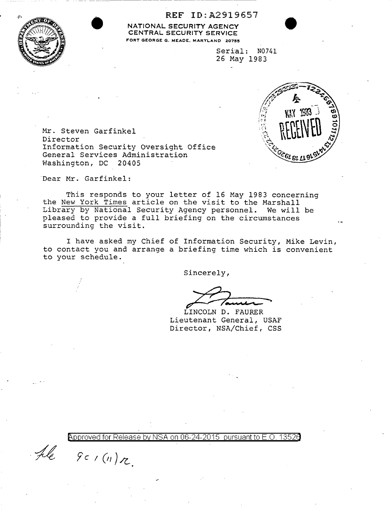

REF ID: A2919657<br>
NATIONAL SECURITY AGENCY<br>
CENTRAL SECURITY SERVICE<br>
FORT GEORGE G. MEADE, MARYLAND 20755 NATIONAL SECURITY AGENCY CENTRAL SECURITY SERVICE FORT GEORGE G. MEADE, MARYLAND 20755

Serial: N0741 26 May 1983



Mr. Steven Garfinkel Director Information Security Oversight Office General Services Administration<br>Washington, DC 20405 Washington, DC

Dear Mr. Garfinkel:

This responds to your letter of 16 May 1983 concerning the New York Times article on the visit to the Marshall Library by National Security Agency personnel. We will be pleased to provide a full briefing on the circumstances surrounding the visit.

I have asked my Chief of Information Security, Mike Levin, to contact you and arrange a briefing time which is convenient to your schedule.

Sincerely,

 $\sqrt{2\pi}$ 

LINCOLN D. FAURER Lieutenant General, USAF Director, NSA/Chief, CSS

-~ *fc I(//)/(\_* 

Approved for Release by NSA on 06-24-2015 pursuant to E.O. 1352d